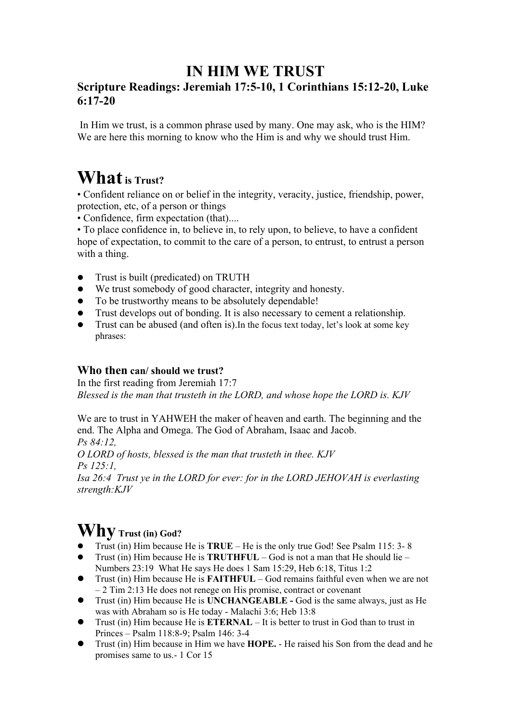## **IN HIM WE TRUST**

## **Scripture Readings: Jeremiah 17:5-10, 1 Corinthians 15:12-20, Luke 6:17-20**

In Him we trust, is a common phrase used by many. One may ask, who is the HIM? We are here this morning to know who the Him is and why we should trust Him.

## **What** is Trust?

• Confident reliance on or belief in the integrity, veracity, justice, friendship, power, protection, etc, of a person or things

• Confidence, firm expectation (that)....

• To place confidence in, to believe in, to rely upon, to believe, to have a confident hope of expectation, to commit to the care of a person, to entrust, to entrust a person with a thing.

- Trust is built (predicated) on TRUTH
- We trust somebody of good character, integrity and honesty.
- To be trustworthy means to be absolutely dependable!
- Trust develops out of bonding. It is also necessary to cement a relationship.
- Trust can be abused (and often is).In the focus text today, let's look at some key phrases:

## **Who then can/ should we trust?**

In the first reading from Jeremiah 17:7 *Blessed is the man that trusteth in the LORD, and whose hope the LORD is. KJV* 

We are to trust in YAHWEH the maker of heaven and earth. The beginning and the end. The Alpha and Omega. The God of Abraham, Isaac and Jacob.

*Ps 84:12, O LORD of hosts, blessed is the man that trusteth in thee. KJV Ps 125:1,* 

*Isa 26:4 Trust ye in the LORD for ever: for in the LORD JEHOVAH is everlasting strength:KJV*

# **Why Trust (in) God?**

- Trust (in) Him because He is **TRUE** He is the only true God! See Psalm 115: 3- 8
- Trust (in) Him because He is **TRUTHFUL** God is not a man that He should lie Numbers 23:19 What He says He does 1 Sam 15:29, Heb 6:18, Titus 1:2
- Trust (in) Him because He is **FAITHFUL** God remains faithful even when we are not – 2 Tim 2:13 He does not renege on His promise, contract or covenant
- Trust (in) Him because He is **UNCHANGEABLE -** God is the same always, just as He was with Abraham so is He today - Malachi 3:6; Heb 13:8
- Trust (in) Him because He is **ETERNAL** It is better to trust in God than to trust in Princes – Psalm 118:8-9; Psalm 146: 3-4
- Trust (in) Him because in Him we have **HOPE.**  He raised his Son from the dead and he promises same to us.- 1 Cor 15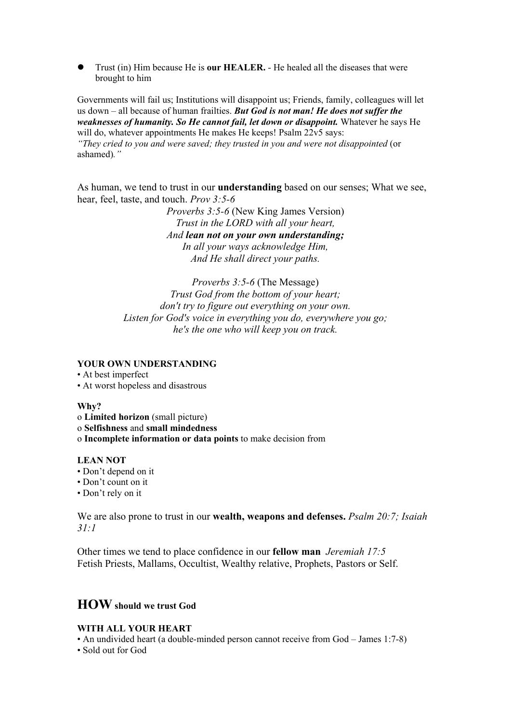Trust (in) Him because He is **our HEALER.** - He healed all the diseases that were brought to him

Governments will fail us; Institutions will disappoint us; Friends, family, colleagues will let us down – all because of human frailties. *But God is not man! He does not suffer the weaknesses of humanity. So He cannot fail, let down or disappoint.* Whatever he says He will do, whatever appointments He makes He keeps! Psalm 22v5 says:

*"They cried to you and were saved; they trusted in you and were not disappointed* (or ashamed)*."* 

As human, we tend to trust in our **understanding** based on our senses; What we see, hear, feel, taste, and touch. *Prov 3:5-6*

> *Proverbs 3:5-6* (New King James Version) *Trust in the LORD with all your heart, And lean not on your own understanding; In all your ways acknowledge Him, And He shall direct your paths.*

*Proverbs 3:5-6* (The Message) *Trust God from the bottom of your heart; don't try to figure out everything on your own. Listen for God's voice in everything you do, everywhere you go; he's the one who will keep you on track.*

#### **YOUR OWN UNDERSTANDING**

• At best imperfect

• At worst hopeless and disastrous

#### **Why?**

- o **Limited horizon** (small picture)
- o **Selfishness** and **small mindedness**
- o **Incomplete information or data points** to make decision from

#### **LEAN NOT**

- Don't depend on it
- Don't count on it
- Don't rely on it

We are also prone to trust in our **wealth, weapons and defenses.** *Psalm 20:7; Isaiah 31:1*

Other times we tend to place confidence in our **fellow man** *Jeremiah 17:5* Fetish Priests, Mallams, Occultist, Wealthy relative, Prophets, Pastors or Self.

## **HOW should we trust God**

#### **WITH ALL YOUR HEART**

• An undivided heart (a double-minded person cannot receive from God – James 1:7-8)

• Sold out for God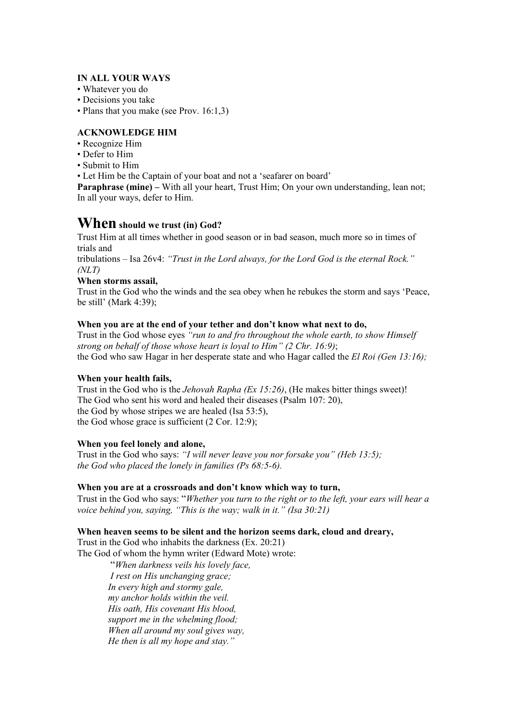#### **IN ALL YOUR WAYS**

- Whatever you do
- Decisions you take
- Plans that you make (see Prov. 16:1,3)

#### **ACKNOWLEDGE HIM**

- Recognize Him
- Defer to Him
- Submit to Him

• Let Him be the Captain of your boat and not a 'seafarer on board'

**Paraphrase (mine)** – With all your heart, Trust Him; On your own understanding, lean not; In all your ways, defer to Him.

### **When should we trust (in) God?**

Trust Him at all times whether in good season or in bad season, much more so in times of trials and

tribulations – Isa 26v4: *"Trust in the Lord always, for the Lord God is the eternal Rock." (NLT)* 

#### **When storms assail,**

Trust in the God who the winds and the sea obey when he rebukes the storm and says 'Peace, be still' (Mark 4:39);

#### **When you are at the end of your tether and don't know what next to do,**

Trust in the God whose eyes *"run to and fro throughout the whole earth, to show Himself strong on behalf of those whose heart is loyal to Him" (2 Chr. 16:9)*; the God who saw Hagar in her desperate state and who Hagar called the *El Roi (Gen 13:16);* 

#### **When your health fails,**

Trust in the God who is the *Jehovah Rapha (Ex 15:26)*, (He makes bitter things sweet)! The God who sent his word and healed their diseases (Psalm 107: 20), the God by whose stripes we are healed (Isa 53:5), the God whose grace is sufficient (2 Cor. 12:9);

#### **When you feel lonely and alone,**

Trust in the God who says: *"I will never leave you nor forsake you" (Heb 13:5); the God who placed the lonely in families (Ps 68:5-6).* 

#### **When you are at a crossroads and don't know which way to turn,**

Trust in the God who says: "*Whether you turn to the right or to the left, your ears will hear a voice behind you, saying, "This is the way; walk in it." (Isa 30:21)* 

#### **When heaven seems to be silent and the horizon seems dark, cloud and dreary,**

Trust in the God who inhabits the darkness (Ex. 20:21)

The God of whom the hymn writer (Edward Mote) wrote:

"*When darkness veils his lovely face, I rest on His unchanging grace; In every high and stormy gale, my anchor holds within the veil. His oath, His covenant His blood, support me in the whelming flood; When all around my soul gives way, He then is all my hope and stay."*